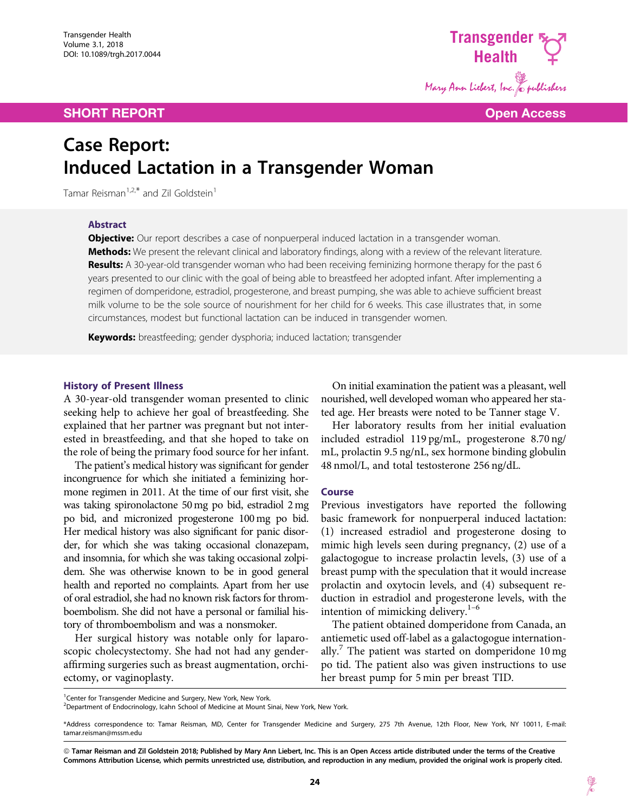## SHORT REPORT **Open Access**



# Case Report: Induced Lactation in a Transgender Woman

Tamar Reisman<sup>1,2,\*</sup> and Zil Goldstein<sup>1</sup>

## Abstract

**Objective:** Our report describes a case of nonpuerperal induced lactation in a transgender woman. Methods: We present the relevant clinical and laboratory findings, along with a review of the relevant literature. Results: A 30-year-old transgender woman who had been receiving feminizing hormone therapy for the past 6 years presented to our clinic with the goal of being able to breastfeed her adopted infant. After implementing a regimen of domperidone, estradiol, progesterone, and breast pumping, she was able to achieve sufficient breast milk volume to be the sole source of nourishment for her child for 6 weeks. This case illustrates that, in some circumstances, modest but functional lactation can be induced in transgender women.

Keywords: breastfeeding; gender dysphoria; induced lactation; transgender

#### History of Present Illness

A 30-year-old transgender woman presented to clinic seeking help to achieve her goal of breastfeeding. She explained that her partner was pregnant but not interested in breastfeeding, and that she hoped to take on the role of being the primary food source for her infant.

The patient's medical history was significant for gender incongruence for which she initiated a feminizing hormone regimen in 2011. At the time of our first visit, she was taking spironolactone 50 mg po bid, estradiol 2 mg po bid, and micronized progesterone 100 mg po bid. Her medical history was also significant for panic disorder, for which she was taking occasional clonazepam, and insomnia, for which she was taking occasional zolpidem. She was otherwise known to be in good general health and reported no complaints. Apart from her use of oral estradiol, she had no known risk factors for thromboembolism. She did not have a personal or familial history of thromboembolism and was a nonsmoker.

Her surgical history was notable only for laparoscopic cholecystectomy. She had not had any genderaffirming surgeries such as breast augmentation, orchiectomy, or vaginoplasty.

On initial examination the patient was a pleasant, well nourished, well developed woman who appeared her stated age. Her breasts were noted to be Tanner stage V.

Her laboratory results from her initial evaluation included estradiol 119 pg/mL, progesterone 8.70 ng/ mL, prolactin 9.5 ng/nL, sex hormone binding globulin 48 nmol/L, and total testosterone 256 ng/dL.

#### Course

Previous investigators have reported the following basic framework for nonpuerperal induced lactation: (1) increased estradiol and progesterone dosing to mimic high levels seen during pregnancy, (2) use of a galactogogue to increase prolactin levels, (3) use of a breast pump with the speculation that it would increase prolactin and oxytocin levels, and (4) subsequent reduction in estradiol and progesterone levels, with the intention of mimicking delivery. $1-6$ 

The patient obtained domperidone from Canada, an antiemetic used off-label as a galactogogue internationally.<sup>7</sup> The patient was started on domperidone 10 mg po tid. The patient also was given instructions to use her breast pump for 5 min per breast TID.

<sup>1</sup> Center for Transgender Medicine and Surgery, New York, New York.

<sup>2</sup>Department of Endocrinology, Icahn School of Medicine at Mount Sinai, New York, New York.

<sup>\*</sup>Address correspondence to: Tamar Reisman, MD, Center for Transgender Medicine and Surgery, 275 7th Avenue, 12th Floor, New York, NY 10011, E-mail: tamar.reisman@mssm.edu

ª Tamar Reisman and Zil Goldstein 2018; Published by Mary Ann Liebert, Inc. This is an Open Access article distributed under the terms of the Creative Commons Attribution License, which permits unrestricted use, distribution, and reproduction in any medium, provided the original work is properly cited.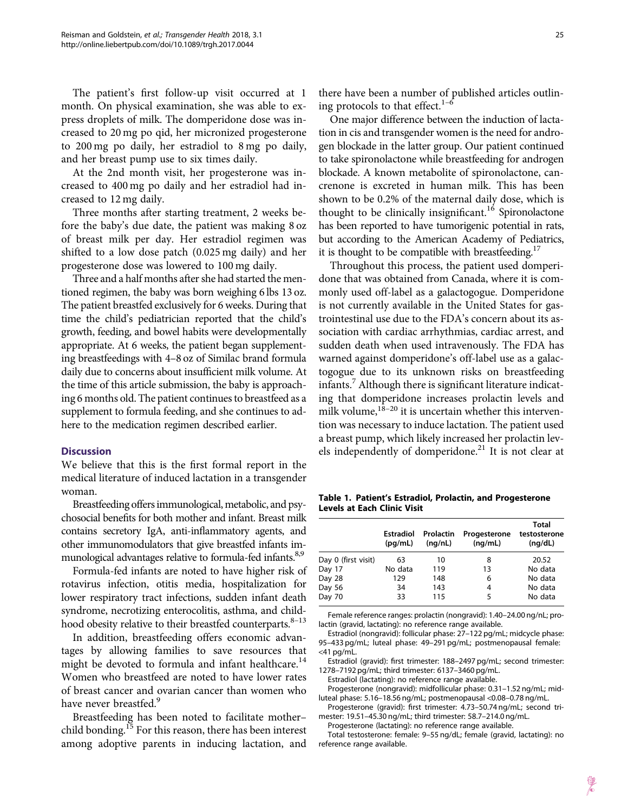The patient's first follow-up visit occurred at 1 month. On physical examination, she was able to express droplets of milk. The domperidone dose was increased to 20 mg po qid, her micronized progesterone to 200 mg po daily, her estradiol to 8 mg po daily, and her breast pump use to six times daily.

At the 2nd month visit, her progesterone was increased to 400 mg po daily and her estradiol had increased to 12 mg daily.

Three months after starting treatment, 2 weeks before the baby's due date, the patient was making 8 oz of breast milk per day. Her estradiol regimen was shifted to a low dose patch (0.025 mg daily) and her progesterone dose was lowered to 100 mg daily.

Three and a half months after she had started the mentioned regimen, the baby was born weighing 6 lbs 13 oz. The patient breastfed exclusively for 6 weeks. During that time the child's pediatrician reported that the child's growth, feeding, and bowel habits were developmentally appropriate. At 6 weeks, the patient began supplementing breastfeedings with 4–8 oz of Similac brand formula daily due to concerns about insufficient milk volume. At the time of this article submission, the baby is approaching 6 months old. The patient continues to breastfeed as a supplement to formula feeding, and she continues to adhere to the medication regimen described earlier.

#### **Discussion**

We believe that this is the first formal report in the medical literature of induced lactation in a transgender woman.

Breastfeeding offers immunological, metabolic, and psychosocial benefits for both mother and infant. Breast milk contains secretory IgA, anti-inflammatory agents, and other immunomodulators that give breastfed infants immunological advantages relative to formula-fed infants.<sup>8,9</sup>

Formula-fed infants are noted to have higher risk of rotavirus infection, otitis media, hospitalization for lower respiratory tract infections, sudden infant death syndrome, necrotizing enterocolitis, asthma, and childhood obesity relative to their breastfed counterparts.<sup>8–13</sup>

In addition, breastfeeding offers economic advantages by allowing families to save resources that might be devoted to formula and infant healthcare.<sup>14</sup> Women who breastfeed are noted to have lower rates of breast cancer and ovarian cancer than women who have never breastfed.<sup>9</sup>

Breastfeeding has been noted to facilitate mother– child bonding.<sup>15</sup> For this reason, there has been interest among adoptive parents in inducing lactation, and

there have been a number of published articles outlining protocols to that effect. $1-6$ 

One major difference between the induction of lactation in cis and transgender women is the need for androgen blockade in the latter group. Our patient continued to take spironolactone while breastfeeding for androgen blockade. A known metabolite of spironolactone, cancrenone is excreted in human milk. This has been shown to be 0.2% of the maternal daily dose, which is thought to be clinically insignificant.<sup>16</sup> Spironolactone has been reported to have tumorigenic potential in rats, but according to the American Academy of Pediatrics, it is thought to be compatible with breastfeeding.<sup>17</sup>

Throughout this process, the patient used domperidone that was obtained from Canada, where it is commonly used off-label as a galactogogue. Domperidone is not currently available in the United States for gastrointestinal use due to the FDA's concern about its association with cardiac arrhythmias, cardiac arrest, and sudden death when used intravenously. The FDA has warned against domperidone's off-label use as a galactogogue due to its unknown risks on breastfeeding infants.<sup>7</sup> Although there is significant literature indicating that domperidone increases prolactin levels and milk volume, $18-20$  it is uncertain whether this intervention was necessary to induce lactation. The patient used a breast pump, which likely increased her prolactin levels independently of domperidone.<sup>21</sup> It is not clear at

Table 1. Patient's Estradiol, Prolactin, and Progesterone Levels at Each Clinic Visit

|                     | <b>Estradiol</b><br>(pq/mL) | Prolactin<br>(nq/nL) | Progesterone<br>(nq/mL) | Total<br>testosterone<br>(nq/dL) |
|---------------------|-----------------------------|----------------------|-------------------------|----------------------------------|
| Day 0 (first visit) | 63                          | 10                   | 8                       | 20.52                            |
| Day 17              | No data                     | 119                  | 13                      | No data                          |
| Day 28              | 129                         | 148                  | 6                       | No data                          |
| Day 56              | 34                          | 143                  | 4                       | No data                          |
| Day 70              | 33                          | 115                  | 5                       | No data                          |

Female reference ranges: prolactin (nongravid): 1.40–24.00 ng/nL; prolactin (gravid, lactating): no reference range available.

Estradiol (nongravid): follicular phase: 27–122 pg/mL; midcycle phase: 95–433 pg/mL; luteal phase: 49–291 pg/mL; postmenopausal female:  $<$ 41 pg/mL.

Estradiol (gravid): first trimester: 188–2497 pg/mL; second trimester: 1278–7192 pg/mL; third trimester: 6137–3460 pg/mL.

Estradiol (lactating): no reference range available.

Progesterone (nongravid): midfollicular phase: 0.31–1.52 ng/mL; midluteal phase: 5.16–18.56 ng/mL; postmenopausal <0.08–0.78 ng/mL.

Progesterone (gravid): first trimester: 4.73–50.74 ng/mL; second trimester: 19.51–45.30 ng/mL; third trimester: 58.7–214.0 ng/mL.

Progesterone (lactating): no reference range available.

Total testosterone: female: 9–55 ng/dL; female (gravid, lactating): no reference range available.